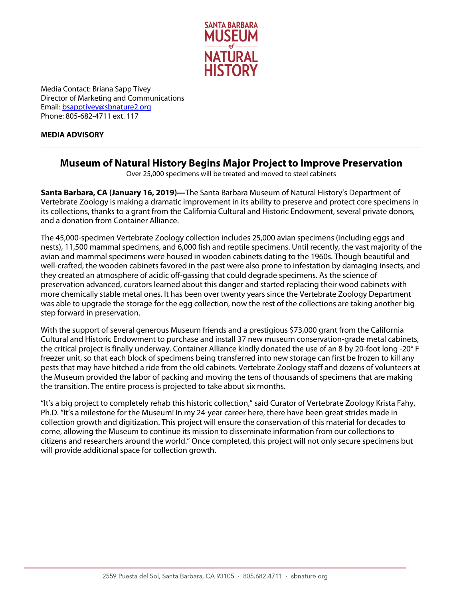

Media Contact: Briana Sapp Tivey Director of Marketing and Communications Email[: bsapptivey@sbnature2.org](mailto:bsapptivey@sbnature2.org) Phone: 805-682-4711 ext. 117

## **MEDIA ADVISORY**

## **Museum of Natural History Begins Major Project to Improve Preservation**

Over 25,000 specimens will be treated and moved to steel cabinets

**Santa Barbara, CA (January 16, 2019)—**The Santa Barbara Museum of Natural History's Department of Vertebrate Zoology is making a dramatic improvement in its ability to preserve and protect core specimens in its collections, thanks to a grant from the California Cultural and Historic Endowment, several private donors, and a donation from Container Alliance.

The 45,000-specimen Vertebrate Zoology collection includes 25,000 avian specimens (including eggs and nests), 11,500 mammal specimens, and 6,000 fish and reptile specimens. Until recently, the vast majority of the avian and mammal specimens were housed in wooden cabinets dating to the 1960s. Though beautiful and well-crafted, the wooden cabinets favored in the past were also prone to infestation by damaging insects, and they created an atmosphere of acidic off-gassing that could degrade specimens. As the science of preservation advanced, curators learned about this danger and started replacing their wood cabinets with more chemically stable metal ones. It has been over twenty years since the Vertebrate Zoology Department was able to upgrade the storage for the egg collection, now the rest of the collections are taking another big step forward in preservation.

With the support of several generous Museum friends and a prestigious \$73,000 grant from the California Cultural and Historic Endowment to purchase and install 37 new museum conservation-grade metal cabinets, the critical project is finally underway. Container Alliance kindly donated the use of an 8 by 20-foot long -20° F freezer unit, so that each block of specimens being transferred into new storage can first be frozen to kill any pests that may have hitched a ride from the old cabinets. Vertebrate Zoology staff and dozens of volunteers at the Museum provided the labor of packing and moving the tens of thousands of specimens that are making the transition. The entire process is projected to take about six months.

"It's a big project to completely rehab this historic collection," said Curator of Vertebrate Zoology Krista Fahy, Ph.D. "It's a milestone for the Museum! In my 24-year career here, there have been great strides made in collection growth and digitization. This project will ensure the conservation of this material for decades to come, allowing the Museum to continue its mission to disseminate information from our collections to citizens and researchers around the world." Once completed, this project will not only secure specimens but will provide additional space for collection growth.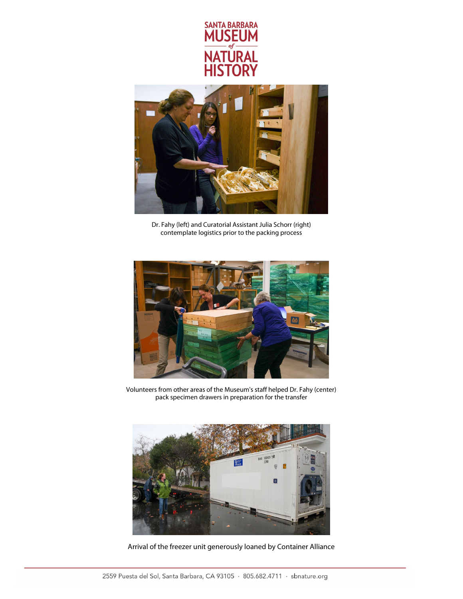



Dr. Fahy (left) and Curatorial Assistant Julia Schorr (right) contemplate logistics prior to the packing process



Volunteers from other areas of the Museum's staff helped Dr. Fahy (center) pack specimen drawers in preparation for the transfer



Arrival of the freezer unit generously loaned by Container Alliance